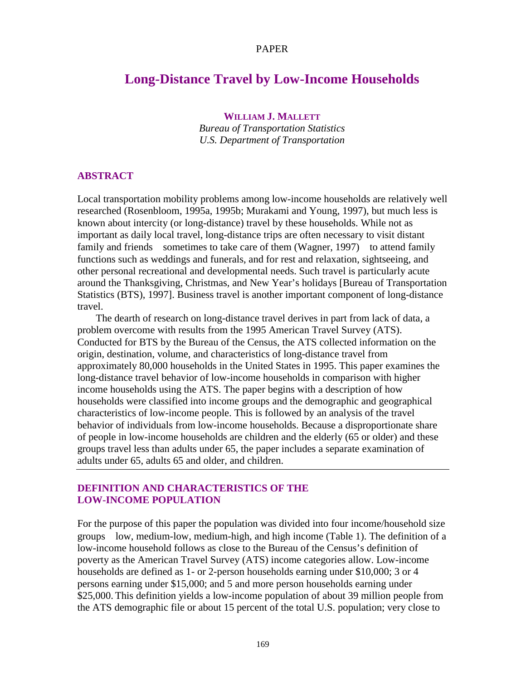#### PAPER

# **Long-Distance Travel by Low-Income Households**

**WILLIAM J. MALLETT**

*Bureau of Transportation Statistics U.S. Department of Transportation*

## **ABSTRACT**

Local transportation mobility problems among low-income households are relatively well researched (Rosenbloom, 1995a, 1995b; Murakami and Young, 1997), but much less is known about intercity (or long-distance) travel by these households. While not as important as daily local travel, long-distance trips are often necessary to visit distant family and friends—sometimes to take care of them (Wagner, 1997)—to attend family functions such as weddings and funerals, and for rest and relaxation, sightseeing, and other personal recreational and developmental needs. Such travel is particularly acute around the Thanksgiving, Christmas, and New Year's holidays [Bureau of Transportation Statistics (BTS), 1997]. Business travel is another important component of long-distance travel.

The dearth of research on long-distance travel derives in part from lack of data, a problem overcome with results from the 1995 American Travel Survey (ATS). Conducted for BTS by the Bureau of the Census, the ATS collected information on the origin, destination, volume, and characteristics of long-distance travel from approximately 80,000 households in the United States in 1995. This paper examines the long-distance travel behavior of low-income households in comparison with higher income households using the ATS. The paper begins with a description of how households were classified into income groups and the demographic and geographical characteristics of low-income people. This is followed by an analysis of the travel behavior of individuals from low-income households. Because a disproportionate share of people in low-income households are children and the elderly (65 or older) and these groups travel less than adults under 65, the paper includes a separate examination of adults under 65, adults 65 and older, and children.

## **DEFINITION AND CHARACTERISTICS OF THE LOW-INCOME POPULATION**

For the purpose of this paper the population was divided into four income/household size groups—low, medium-low, medium-high, and high income (Table 1). The definition of a low-income household follows as close to the Bureau of the Census's definition of poverty as the American Travel Survey (ATS) income categories allow. Low-income households are defined as 1- or 2-person households earning under \$10,000; 3 or 4 persons earning under \$15,000; and 5 and more person households earning under \$25,000. This definition yields a low-income population of about 39 million people from the ATS demographic file or about 15 percent of the total U.S. population; very close to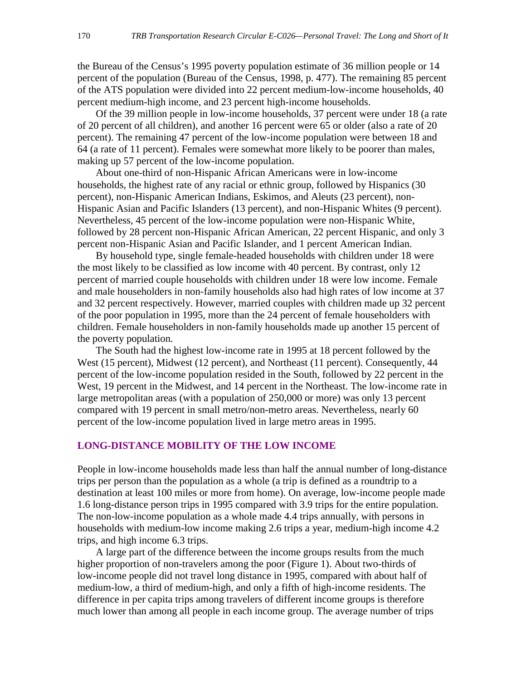the Bureau of the Census's 1995 poverty population estimate of 36 million people or 14 percent of the population (Bureau of the Census, 1998, p. 477). The remaining 85 percent of the ATS population were divided into 22 percent medium-low-income households, 40 percent medium-high income, and 23 percent high-income households.

Of the 39 million people in low-income households, 37 percent were under 18 (a rate of 20 percent of all children), and another 16 percent were 65 or older (also a rate of 20 percent). The remaining 47 percent of the low-income population were between 18 and 64 (a rate of 11 percent). Females were somewhat more likely to be poorer than males, making up 57 percent of the low-income population.

About one-third of non-Hispanic African Americans were in low-income households, the highest rate of any racial or ethnic group, followed by Hispanics (30 percent), non-Hispanic American Indians, Eskimos, and Aleuts (23 percent), non-Hispanic Asian and Pacific Islanders (13 percent), and non-Hispanic Whites (9 percent). Nevertheless, 45 percent of the low-income population were non-Hispanic White, followed by 28 percent non-Hispanic African American, 22 percent Hispanic, and only 3 percent non-Hispanic Asian and Pacific Islander, and 1 percent American Indian.

By household type, single female-headed households with children under 18 were the most likely to be classified as low income with 40 percent. By contrast, only 12 percent of married couple households with children under 18 were low income. Female and male householders in non-family households also had high rates of low income at 37 and 32 percent respectively. However, married couples with children made up 32 percent of the poor population in 1995, more than the 24 percent of female householders with children. Female householders in non-family households made up another 15 percent of the poverty population.

The South had the highest low-income rate in 1995 at 18 percent followed by the West (15 percent), Midwest (12 percent), and Northeast (11 percent). Consequently, 44 percent of the low-income population resided in the South, followed by 22 percent in the West, 19 percent in the Midwest, and 14 percent in the Northeast. The low-income rate in large metropolitan areas (with a population of 250,000 or more) was only 13 percent compared with 19 percent in small metro/non-metro areas. Nevertheless, nearly 60 percent of the low-income population lived in large metro areas in 1995.

## **LONG-DISTANCE MOBILITY OF THE LOW INCOME**

People in low-income households made less than half the annual number of long-distance trips per person than the population as a whole (a trip is defined as a roundtrip to a destination at least 100 miles or more from home). On average, low-income people made 1.6 long-distance person trips in 1995 compared with 3.9 trips for the entire population. The non-low-income population as a whole made 4.4 trips annually, with persons in households with medium-low income making 2.6 trips a year, medium-high income 4.2 trips, and high income 6.3 trips.

A large part of the difference between the income groups results from the much higher proportion of non-travelers among the poor (Figure 1). About two-thirds of low-income people did not travel long distance in 1995, compared with about half of medium-low, a third of medium-high, and only a fifth of high-income residents. The difference in per capita trips among travelers of different income groups is therefore much lower than among all people in each income group. The average number of trips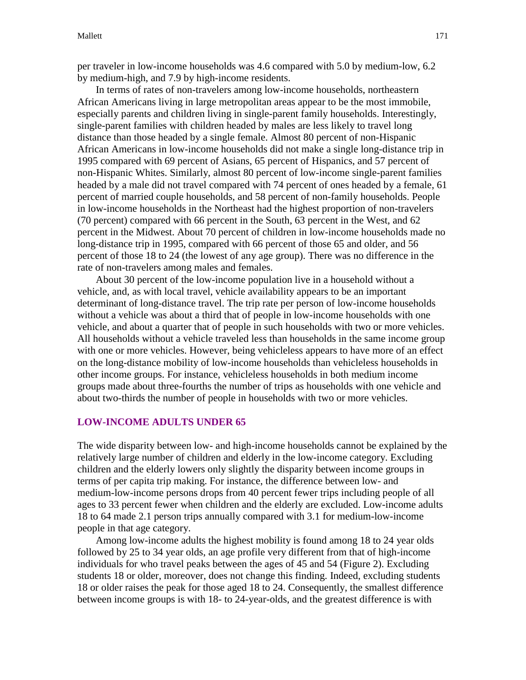per traveler in low-income households was 4.6 compared with 5.0 by medium-low, 6.2 by medium-high, and 7.9 by high-income residents.

In terms of rates of non-travelers among low-income households, northeastern African Americans living in large metropolitan areas appear to be the most immobile, especially parents and children living in single-parent family households. Interestingly, single-parent families with children headed by males are less likely to travel long distance than those headed by a single female. Almost 80 percent of non-Hispanic African Americans in low-income households did not make a single long-distance trip in 1995 compared with 69 percent of Asians, 65 percent of Hispanics, and 57 percent of non-Hispanic Whites. Similarly, almost 80 percent of low-income single-parent families headed by a male did not travel compared with 74 percent of ones headed by a female, 61 percent of married couple households, and 58 percent of non-family households. People in low-income households in the Northeast had the highest proportion of non-travelers (70 percent) compared with 66 percent in the South, 63 percent in the West, and 62 percent in the Midwest. About 70 percent of children in low-income households made no long-distance trip in 1995, compared with 66 percent of those 65 and older, and 56 percent of those 18 to 24 (the lowest of any age group). There was no difference in the rate of non-travelers among males and females.

About 30 percent of the low-income population live in a household without a vehicle, and, as with local travel, vehicle availability appears to be an important determinant of long-distance travel. The trip rate per person of low-income households without a vehicle was about a third that of people in low-income households with one vehicle, and about a quarter that of people in such households with two or more vehicles. All households without a vehicle traveled less than households in the same income group with one or more vehicles. However, being vehicleless appears to have more of an effect on the long-distance mobility of low-income households than vehicleless households in other income groups. For instance, vehicleless households in both medium income groups made about three-fourths the number of trips as households with one vehicle and about two-thirds the number of people in households with two or more vehicles.

#### **LOW-INCOME ADULTS UNDER 65**

The wide disparity between low- and high-income households cannot be explained by the relatively large number of children and elderly in the low-income category. Excluding children and the elderly lowers only slightly the disparity between income groups in terms of per capita trip making. For instance, the difference between low- and medium-low-income persons drops from 40 percent fewer trips including people of all ages to 33 percent fewer when children and the elderly are excluded. Low-income adults 18 to 64 made 2.1 person trips annually compared with 3.1 for medium-low-income people in that age category.

Among low-income adults the highest mobility is found among 18 to 24 year olds followed by 25 to 34 year olds, an age profile very different from that of high-income individuals for who travel peaks between the ages of 45 and 54 (Figure 2). Excluding students 18 or older, moreover, does not change this finding. Indeed, excluding students 18 or older raises the peak for those aged 18 to 24. Consequently, the smallest difference between income groups is with 18- to 24-year-olds, and the greatest difference is with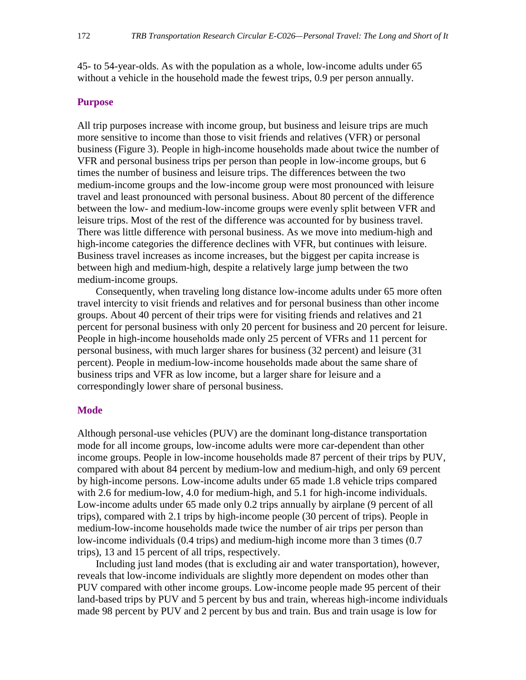45- to 54-year-olds. As with the population as a whole, low-income adults under 65 without a vehicle in the household made the fewest trips, 0.9 per person annually.

#### **Purpose**

All trip purposes increase with income group, but business and leisure trips are much more sensitive to income than those to visit friends and relatives (VFR) or personal business (Figure 3). People in high-income households made about twice the number of VFR and personal business trips per person than people in low-income groups, but 6 times the number of business and leisure trips. The differences between the two medium-income groups and the low-income group were most pronounced with leisure travel and least pronounced with personal business. About 80 percent of the difference between the low- and medium-low-income groups were evenly split between VFR and leisure trips. Most of the rest of the difference was accounted for by business travel. There was little difference with personal business. As we move into medium-high and high-income categories the difference declines with VFR, but continues with leisure. Business travel increases as income increases, but the biggest per capita increase is between high and medium-high, despite a relatively large jump between the two medium-income groups.

Consequently, when traveling long distance low-income adults under 65 more often travel intercity to visit friends and relatives and for personal business than other income groups. About 40 percent of their trips were for visiting friends and relatives and 21 percent for personal business with only 20 percent for business and 20 percent for leisure. People in high-income households made only 25 percent of VFRs and 11 percent for personal business, with much larger shares for business (32 percent) and leisure (31 percent). People in medium-low-income households made about the same share of business trips and VFR as low income, but a larger share for leisure and a correspondingly lower share of personal business.

#### **Mode**

Although personal-use vehicles (PUV) are the dominant long-distance transportation mode for all income groups, low-income adults were more car-dependent than other income groups. People in low-income households made 87 percent of their trips by PUV, compared with about 84 percent by medium-low and medium-high, and only 69 percent by high-income persons. Low-income adults under 65 made 1.8 vehicle trips compared with 2.6 for medium-low, 4.0 for medium-high, and 5.1 for high-income individuals. Low-income adults under 65 made only 0.2 trips annually by airplane (9 percent of all trips), compared with 2.1 trips by high-income people (30 percent of trips). People in medium-low-income households made twice the number of air trips per person than low-income individuals (0.4 trips) and medium-high income more than 3 times (0.7 trips), 13 and 15 percent of all trips, respectively.

Including just land modes (that is excluding air and water transportation), however, reveals that low-income individuals are slightly more dependent on modes other than PUV compared with other income groups. Low-income people made 95 percent of their land-based trips by PUV and 5 percent by bus and train, whereas high-income individuals made 98 percent by PUV and 2 percent by bus and train. Bus and train usage is low for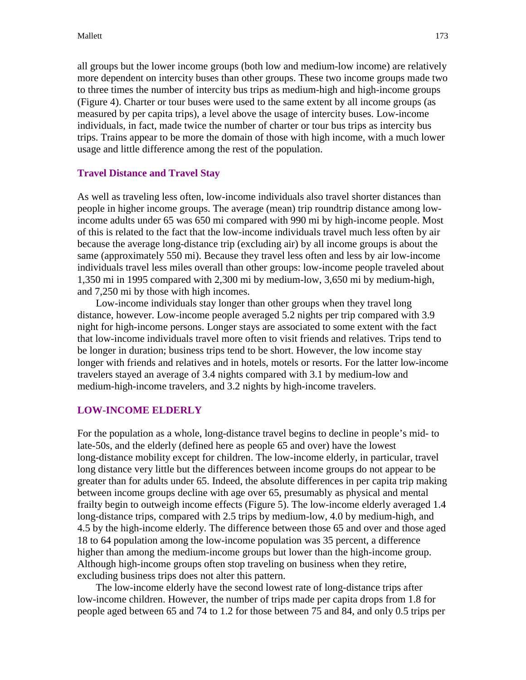all groups but the lower income groups (both low and medium-low income) are relatively more dependent on intercity buses than other groups. These two income groups made two to three times the number of intercity bus trips as medium-high and high-income groups (Figure 4). Charter or tour buses were used to the same extent by all income groups (as measured by per capita trips), a level above the usage of intercity buses. Low-income individuals, in fact, made twice the number of charter or tour bus trips as intercity bus trips. Trains appear to be more the domain of those with high income, with a much lower usage and little difference among the rest of the population.

## **Travel Distance and Travel Stay**

As well as traveling less often, low-income individuals also travel shorter distances than people in higher income groups. The average (mean) trip roundtrip distance among lowincome adults under 65 was 650 mi compared with 990 mi by high-income people. Most of this is related to the fact that the low-income individuals travel much less often by air because the average long-distance trip (excluding air) by all income groups is about the same (approximately 550 mi). Because they travel less often and less by air low-income individuals travel less miles overall than other groups: low-income people traveled about 1,350 mi in 1995 compared with 2,300 mi by medium-low, 3,650 mi by medium-high, and 7,250 mi by those with high incomes.

Low-income individuals stay longer than other groups when they travel long distance, however. Low-income people averaged 5.2 nights per trip compared with 3.9 night for high-income persons. Longer stays are associated to some extent with the fact that low-income individuals travel more often to visit friends and relatives. Trips tend to be longer in duration; business trips tend to be short. However, the low income stay longer with friends and relatives and in hotels, motels or resorts. For the latter low-income travelers stayed an average of 3.4 nights compared with 3.1 by medium-low and medium-high-income travelers, and 3.2 nights by high-income travelers.

### **LOW-INCOME ELDERLY**

For the population as a whole, long-distance travel begins to decline in people's mid- to late-50s, and the elderly (defined here as people 65 and over) have the lowest long-distance mobility except for children. The low-income elderly, in particular, travel long distance very little but the differences between income groups do not appear to be greater than for adults under 65. Indeed, the absolute differences in per capita trip making between income groups decline with age over 65, presumably as physical and mental frailty begin to outweigh income effects (Figure 5). The low-income elderly averaged 1.4 long-distance trips, compared with 2.5 trips by medium-low, 4.0 by medium-high, and 4.5 by the high-income elderly. The difference between those 65 and over and those aged 18 to 64 population among the low-income population was 35 percent, a difference higher than among the medium-income groups but lower than the high-income group. Although high-income groups often stop traveling on business when they retire, excluding business trips does not alter this pattern.

The low-income elderly have the second lowest rate of long-distance trips after low-income children. However, the number of trips made per capita drops from 1.8 for people aged between 65 and 74 to 1.2 for those between 75 and 84, and only 0.5 trips per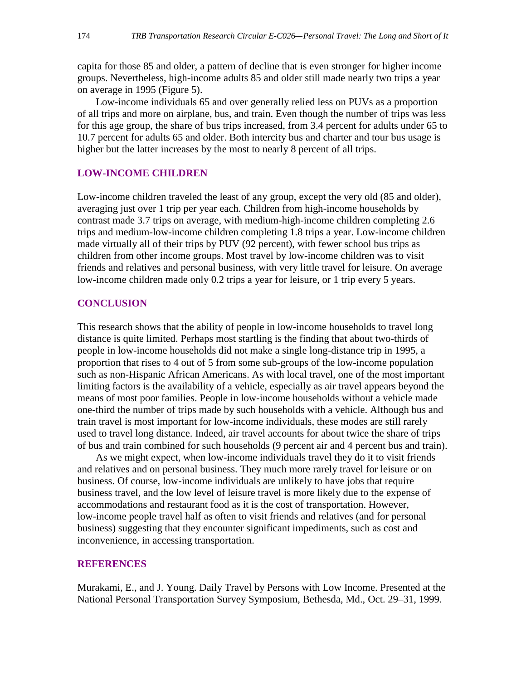capita for those 85 and older, a pattern of decline that is even stronger for higher income groups. Nevertheless, high-income adults 85 and older still made nearly two trips a year on average in 1995 (Figure 5).

Low-income individuals 65 and over generally relied less on PUVs as a proportion of all trips and more on airplane, bus, and train. Even though the number of trips was less for this age group, the share of bus trips increased, from 3.4 percent for adults under 65 to 10.7 percent for adults 65 and older. Both intercity bus and charter and tour bus usage is higher but the latter increases by the most to nearly 8 percent of all trips.

#### **LOW-INCOME CHILDREN**

Low-income children traveled the least of any group, except the very old (85 and older), averaging just over 1 trip per year each. Children from high-income households by contrast made 3.7 trips on average, with medium-high-income children completing 2.6 trips and medium-low-income children completing 1.8 trips a year. Low-income children made virtually all of their trips by PUV (92 percent), with fewer school bus trips as children from other income groups. Most travel by low-income children was to visit friends and relatives and personal business, with very little travel for leisure. On average low-income children made only 0.2 trips a year for leisure, or 1 trip every 5 years.

#### **CONCLUSION**

This research shows that the ability of people in low-income households to travel long distance is quite limited. Perhaps most startling is the finding that about two-thirds of people in low-income households did not make a single long-distance trip in 1995, a proportion that rises to 4 out of 5 from some sub-groups of the low-income population such as non-Hispanic African Americans. As with local travel, one of the most important limiting factors is the availability of a vehicle, especially as air travel appears beyond the means of most poor families. People in low-income households without a vehicle made one-third the number of trips made by such households with a vehicle. Although bus and train travel is most important for low-income individuals, these modes are still rarely used to travel long distance. Indeed, air travel accounts for about twice the share of trips of bus and train combined for such households (9 percent air and 4 percent bus and train).

As we might expect, when low-income individuals travel they do it to visit friends and relatives and on personal business. They much more rarely travel for leisure or on business. Of course, low-income individuals are unlikely to have jobs that require business travel, and the low level of leisure travel is more likely due to the expense of accommodations and restaurant food as it is the cost of transportation. However, low-income people travel half as often to visit friends and relatives (and for personal business) suggesting that they encounter significant impediments, such as cost and inconvenience, in accessing transportation.

#### **REFERENCES**

Murakami, E., and J. Young. Daily Travel by Persons with Low Income. Presented at the National Personal Transportation Survey Symposium, Bethesda, Md., Oct. 29–31, 1999.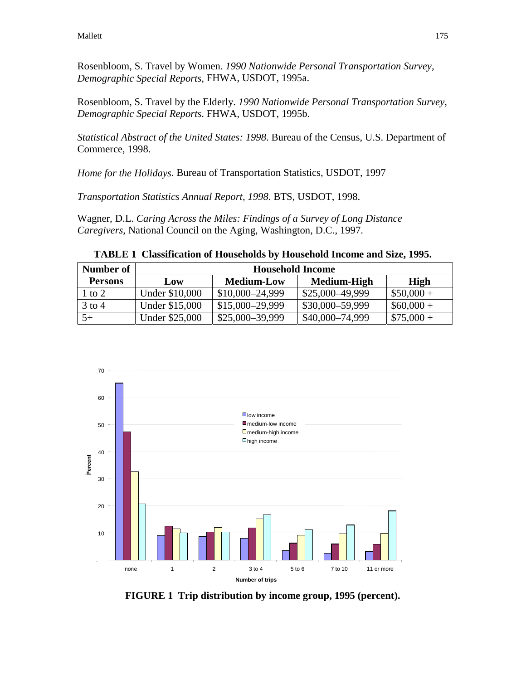Rosenbloom, S. Travel by Women. *1990 Nationwide Personal Transportation Survey, Demographic Special Reports,* FHWA, USDOT, 1995a.

Rosenbloom, S. Travel by the Elderly. *1990 Nationwide Personal Transportation Survey, Demographic Special Reports*. FHWA, USDOT, 1995b.

*Statistical Abstract of the United States: 1998*. Bureau of the Census, U.S. Department of Commerce, 1998.

*Home for the Holidays*. Bureau of Transportation Statistics, USDOT, 1997

*Transportation Statistics Annual Report, 1998*. BTS, USDOT, 1998.

Wagner, D.L. *Caring Across the Miles: Findings of a Survey of Long Distance Caregivers*, National Council on the Aging, Washington, D.C., 1997.

**TABLE 1 Classification of Households by Household Income and Size, 1995.**

| Number of      | <b>Household Income</b> |                   |                 |             |
|----------------|-------------------------|-------------------|-----------------|-------------|
| <b>Persons</b> | Low                     | <b>Medium-Low</b> | Medium-High     | High        |
| 1 to 2         | Under \$10,000          | $$10,000-24,999$  | \$25,000-49,999 | $$50,000 +$ |
| 3 to 4         | Under \$15,000          | $$15,000-29,999$  | \$30,000-59,999 | $$60,000+$  |
| $5+$           | Under \$25,000          | $$25,000-39,999$  | \$40,000-74,999 | $$75,000+$  |



**FIGURE 1 Trip distribution by income group, 1995 (percent).**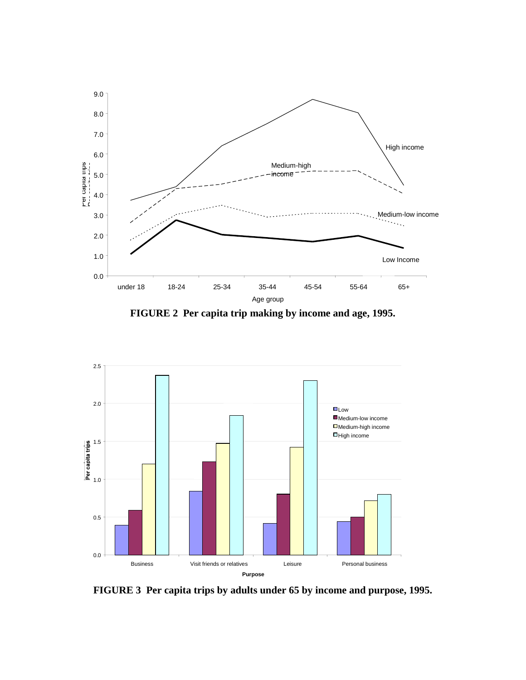

**FIGURE 2 Per capita trip making by income and age, 1995.**



**FIGURE 3 Per capita trips by adults under 65 by income and purpose, 1995.**